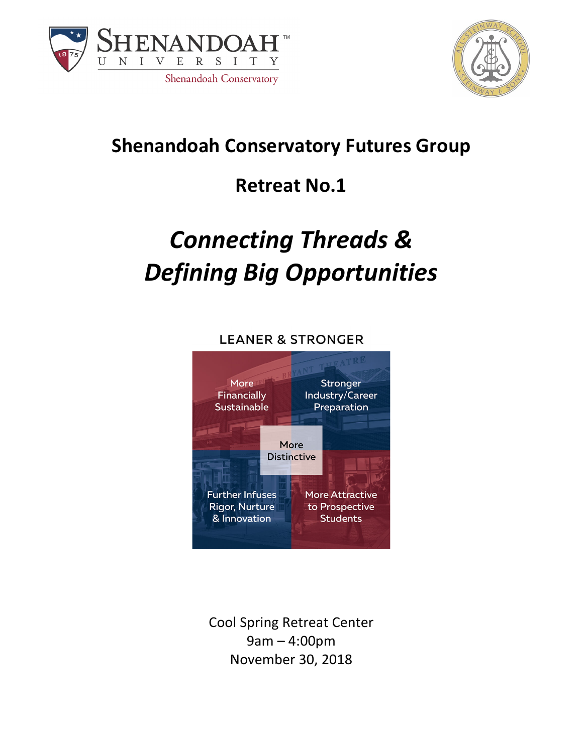



## **Shenandoah Conservatory Futures Group**

## **Retreat No.1**

# *Connecting Threads & Defining Big Opportunities*

#### **LEANER & STRONGER**



Cool Spring Retreat Center 9am – 4:00pm November 30, 2018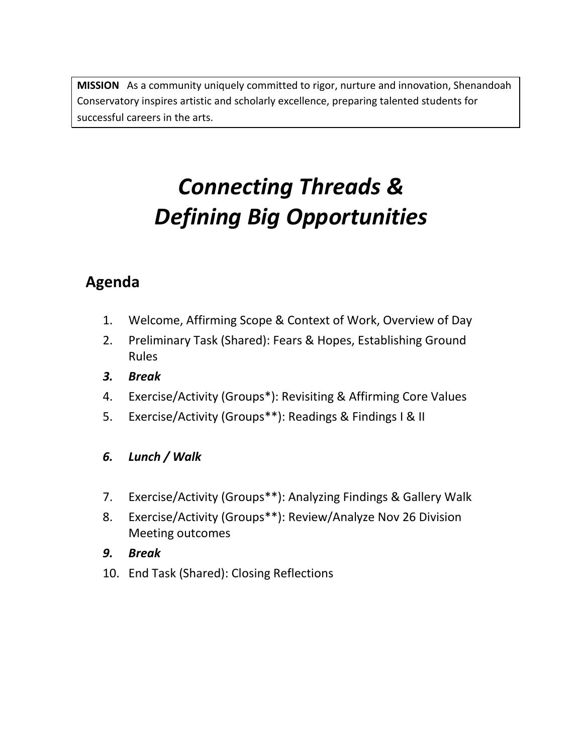**MISSION** As a community uniquely committed to rigor, nurture and innovation, Shenandoah Conservatory inspires artistic and scholarly excellence, preparing talented students for successful careers in the arts.

## *Connecting Threads & Defining Big Opportunities*

### **Agenda**

- 1. Welcome, Affirming Scope & Context of Work, Overview of Day
- 2. Preliminary Task (Shared): Fears & Hopes, Establishing Ground Rules
- *3. Break*
- 4. Exercise/Activity (Groups\*): Revisiting & Affirming Core Values
- 5. Exercise/Activity (Groups\*\*): Readings & Findings I & II

#### *6. Lunch / Walk*

- 7. Exercise/Activity (Groups\*\*): Analyzing Findings & Gallery Walk
- 8. Exercise/Activity (Groups\*\*): Review/Analyze Nov 26 Division Meeting outcomes
- *9. Break*
- 10. End Task (Shared): Closing Reflections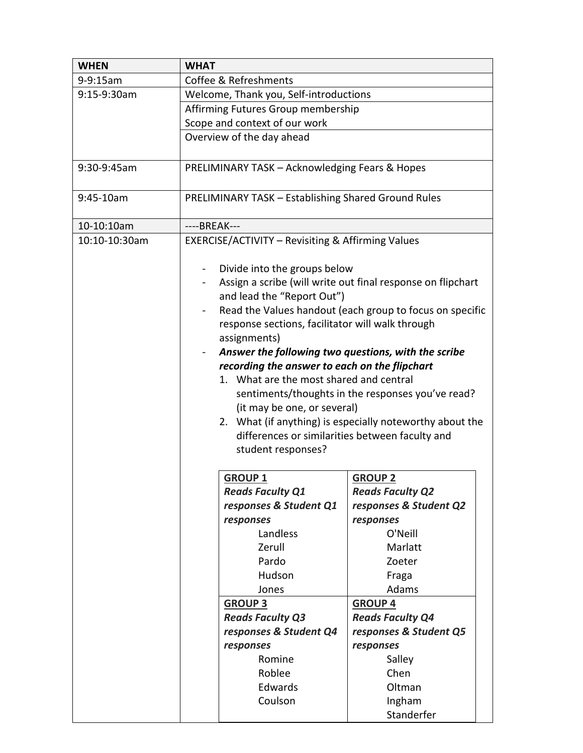| <b>WHEN</b>   | <b>WHAT</b>                                                                                                                                                                                                                                                                                                     |                         |                                                          |  |  |
|---------------|-----------------------------------------------------------------------------------------------------------------------------------------------------------------------------------------------------------------------------------------------------------------------------------------------------------------|-------------------------|----------------------------------------------------------|--|--|
| $9 - 9:15$ am | Coffee & Refreshments                                                                                                                                                                                                                                                                                           |                         |                                                          |  |  |
| 9:15-9:30am   | Welcome, Thank you, Self-introductions                                                                                                                                                                                                                                                                          |                         |                                                          |  |  |
|               | Affirming Futures Group membership                                                                                                                                                                                                                                                                              |                         |                                                          |  |  |
|               | Scope and context of our work                                                                                                                                                                                                                                                                                   |                         |                                                          |  |  |
|               | Overview of the day ahead                                                                                                                                                                                                                                                                                       |                         |                                                          |  |  |
|               |                                                                                                                                                                                                                                                                                                                 |                         |                                                          |  |  |
| 9:30-9:45am   | PRELIMINARY TASK - Acknowledging Fears & Hopes                                                                                                                                                                                                                                                                  |                         |                                                          |  |  |
| 9:45-10am     | <b>PRELIMINARY TASK - Establishing Shared Ground Rules</b>                                                                                                                                                                                                                                                      |                         |                                                          |  |  |
| 10-10:10am    | ----BREAK---                                                                                                                                                                                                                                                                                                    |                         |                                                          |  |  |
| 10:10-10:30am | EXERCISE/ACTIVITY - Revisiting & Affirming Values                                                                                                                                                                                                                                                               |                         |                                                          |  |  |
|               | Divide into the groups below<br>$\blacksquare$<br>Assign a scribe (will write out final response on flipchart                                                                                                                                                                                                   |                         |                                                          |  |  |
|               | and lead the "Report Out")                                                                                                                                                                                                                                                                                      |                         |                                                          |  |  |
|               |                                                                                                                                                                                                                                                                                                                 |                         | Read the Values handout (each group to focus on specific |  |  |
|               | response sections, facilitator will walk through                                                                                                                                                                                                                                                                |                         |                                                          |  |  |
|               | assignments)<br>Answer the following two questions, with the scribe<br>recording the answer to each on the flipchart<br>1. What are the most shared and central<br>sentiments/thoughts in the responses you've read?<br>(it may be one, or several)<br>2. What (if anything) is especially noteworthy about the |                         |                                                          |  |  |
|               |                                                                                                                                                                                                                                                                                                                 |                         |                                                          |  |  |
|               |                                                                                                                                                                                                                                                                                                                 |                         |                                                          |  |  |
|               |                                                                                                                                                                                                                                                                                                                 |                         |                                                          |  |  |
|               |                                                                                                                                                                                                                                                                                                                 |                         |                                                          |  |  |
|               |                                                                                                                                                                                                                                                                                                                 |                         |                                                          |  |  |
|               |                                                                                                                                                                                                                                                                                                                 |                         |                                                          |  |  |
|               | differences or similarities between faculty and                                                                                                                                                                                                                                                                 |                         |                                                          |  |  |
|               | student responses?                                                                                                                                                                                                                                                                                              |                         |                                                          |  |  |
|               |                                                                                                                                                                                                                                                                                                                 |                         |                                                          |  |  |
|               | <b>GROUP 1</b>                                                                                                                                                                                                                                                                                                  |                         | <b>GROUP 2</b>                                           |  |  |
|               |                                                                                                                                                                                                                                                                                                                 | <b>Reads Faculty Q1</b> | <b>Reads Faculty Q2</b>                                  |  |  |
|               |                                                                                                                                                                                                                                                                                                                 | responses & Student Q1  | responses & Student Q2                                   |  |  |
|               | responses                                                                                                                                                                                                                                                                                                       |                         | responses                                                |  |  |
|               |                                                                                                                                                                                                                                                                                                                 | Landless                | O'Neill                                                  |  |  |
|               |                                                                                                                                                                                                                                                                                                                 | Zerull                  | Marlatt                                                  |  |  |
|               |                                                                                                                                                                                                                                                                                                                 | Pardo                   | Zoeter                                                   |  |  |
|               |                                                                                                                                                                                                                                                                                                                 | Hudson                  | Fraga                                                    |  |  |
|               |                                                                                                                                                                                                                                                                                                                 | Jones                   | Adams                                                    |  |  |
|               | <b>GROUP 3</b>                                                                                                                                                                                                                                                                                                  |                         | <b>GROUP 4</b>                                           |  |  |
|               |                                                                                                                                                                                                                                                                                                                 | <b>Reads Faculty Q3</b> | <b>Reads Faculty Q4</b>                                  |  |  |
|               |                                                                                                                                                                                                                                                                                                                 | responses & Student Q4  | responses & Student Q5                                   |  |  |
|               | responses                                                                                                                                                                                                                                                                                                       |                         | responses                                                |  |  |
|               |                                                                                                                                                                                                                                                                                                                 | Romine                  | Salley                                                   |  |  |
|               |                                                                                                                                                                                                                                                                                                                 | Roblee                  | Chen                                                     |  |  |
|               |                                                                                                                                                                                                                                                                                                                 | Edwards                 | Oltman                                                   |  |  |
|               |                                                                                                                                                                                                                                                                                                                 | Coulson                 | Ingham                                                   |  |  |
|               |                                                                                                                                                                                                                                                                                                                 |                         | Standerfer                                               |  |  |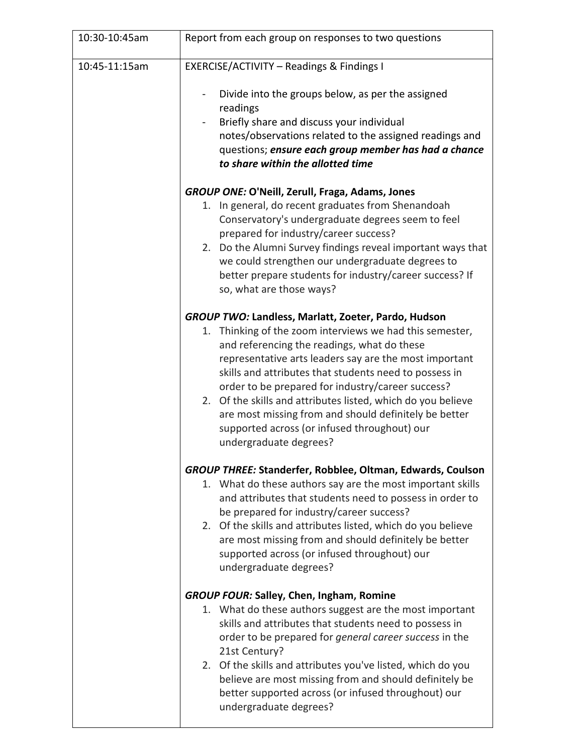| 10:30-10:45am | Report from each group on responses to two questions                                                                                                                                                                                                                                                                                                                                                                                                                                                                                          |  |  |
|---------------|-----------------------------------------------------------------------------------------------------------------------------------------------------------------------------------------------------------------------------------------------------------------------------------------------------------------------------------------------------------------------------------------------------------------------------------------------------------------------------------------------------------------------------------------------|--|--|
| 10:45-11:15am | EXERCISE/ACTIVITY - Readings & Findings I                                                                                                                                                                                                                                                                                                                                                                                                                                                                                                     |  |  |
|               | Divide into the groups below, as per the assigned<br>readings<br>Briefly share and discuss your individual<br>notes/observations related to the assigned readings and<br>questions; ensure each group member has had a chance<br>to share within the allotted time                                                                                                                                                                                                                                                                            |  |  |
|               | <b>GROUP ONE: O'Neill, Zerull, Fraga, Adams, Jones</b><br>In general, do recent graduates from Shenandoah<br>1.<br>Conservatory's undergraduate degrees seem to feel<br>prepared for industry/career success?<br>2. Do the Alumni Survey findings reveal important ways that<br>we could strengthen our undergraduate degrees to<br>better prepare students for industry/career success? If<br>so, what are those ways?                                                                                                                       |  |  |
|               | GROUP TWO: Landless, Marlatt, Zoeter, Pardo, Hudson<br>Thinking of the zoom interviews we had this semester,<br>1.<br>and referencing the readings, what do these<br>representative arts leaders say are the most important<br>skills and attributes that students need to possess in<br>order to be prepared for industry/career success?<br>2. Of the skills and attributes listed, which do you believe<br>are most missing from and should definitely be better<br>supported across (or infused throughout) our<br>undergraduate degrees? |  |  |
|               | <b>GROUP THREE: Standerfer, Robblee, Oltman, Edwards, Coulson</b><br>1. What do these authors say are the most important skills<br>and attributes that students need to possess in order to<br>be prepared for industry/career success?<br>2. Of the skills and attributes listed, which do you believe<br>are most missing from and should definitely be better<br>supported across (or infused throughout) our<br>undergraduate degrees?                                                                                                    |  |  |
|               | <b>GROUP FOUR: Salley, Chen, Ingham, Romine</b><br>1. What do these authors suggest are the most important<br>skills and attributes that students need to possess in<br>order to be prepared for general career success in the<br>21st Century?<br>2. Of the skills and attributes you've listed, which do you<br>believe are most missing from and should definitely be<br>better supported across (or infused throughout) our<br>undergraduate degrees?                                                                                     |  |  |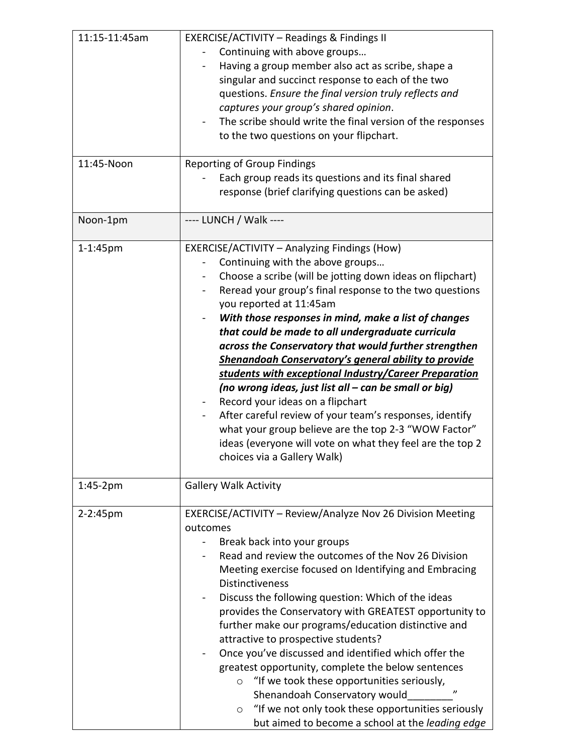| 11:15-11:45am | EXERCISE/ACTIVITY - Readings & Findings II<br>Continuing with above groups<br>Having a group member also act as scribe, shape a<br>singular and succinct response to each of the two<br>questions. Ensure the final version truly reflects and<br>captures your group's shared opinion.<br>The scribe should write the final version of the responses<br>to the two questions on your flipchart.                                                                                                                                                                                                                                                                                                                                                                                                                                                     |  |
|---------------|------------------------------------------------------------------------------------------------------------------------------------------------------------------------------------------------------------------------------------------------------------------------------------------------------------------------------------------------------------------------------------------------------------------------------------------------------------------------------------------------------------------------------------------------------------------------------------------------------------------------------------------------------------------------------------------------------------------------------------------------------------------------------------------------------------------------------------------------------|--|
| 11:45-Noon    | <b>Reporting of Group Findings</b><br>Each group reads its questions and its final shared<br>response (brief clarifying questions can be asked)                                                                                                                                                                                                                                                                                                                                                                                                                                                                                                                                                                                                                                                                                                      |  |
| Noon-1pm      | ---- LUNCH / Walk ----                                                                                                                                                                                                                                                                                                                                                                                                                                                                                                                                                                                                                                                                                                                                                                                                                               |  |
| 1-1:45pm      | <b>EXERCISE/ACTIVITY - Analyzing Findings (How)</b><br>Continuing with the above groups<br>Choose a scribe (will be jotting down ideas on flipchart)<br>Reread your group's final response to the two questions<br>you reported at 11:45am<br>With those responses in mind, make a list of changes<br>that could be made to all undergraduate curricula<br>across the Conservatory that would further strengthen<br><b>Shenandoah Conservatory's general ability to provide</b><br>students with exceptional Industry/Career Preparation<br>(no wrong ideas, just list all – can be small or big)<br>Record your ideas on a flipchart<br>After careful review of your team's responses, identify<br>what your group believe are the top 2-3 "WOW Factor"<br>ideas (everyone will vote on what they feel are the top 2<br>choices via a Gallery Walk) |  |
| $1:45-2pm$    | <b>Gallery Walk Activity</b>                                                                                                                                                                                                                                                                                                                                                                                                                                                                                                                                                                                                                                                                                                                                                                                                                         |  |
| 2-2:45pm      | EXERCISE/ACTIVITY – Review/Analyze Nov 26 Division Meeting<br>outcomes<br>Break back into your groups<br>Read and review the outcomes of the Nov 26 Division<br>Meeting exercise focused on Identifying and Embracing<br><b>Distinctiveness</b><br>Discuss the following question: Which of the ideas<br>provides the Conservatory with GREATEST opportunity to<br>further make our programs/education distinctive and<br>attractive to prospective students?<br>Once you've discussed and identified which offer the<br>greatest opportunity, complete the below sentences<br>"If we took these opportunities seriously,<br>$\circ$<br>$\boldsymbol{\eta}$<br>Shenandoah Conservatory would<br>"If we not only took these opportunities seriously<br>$\circ$<br>but aimed to become a school at the leading edge                                    |  |